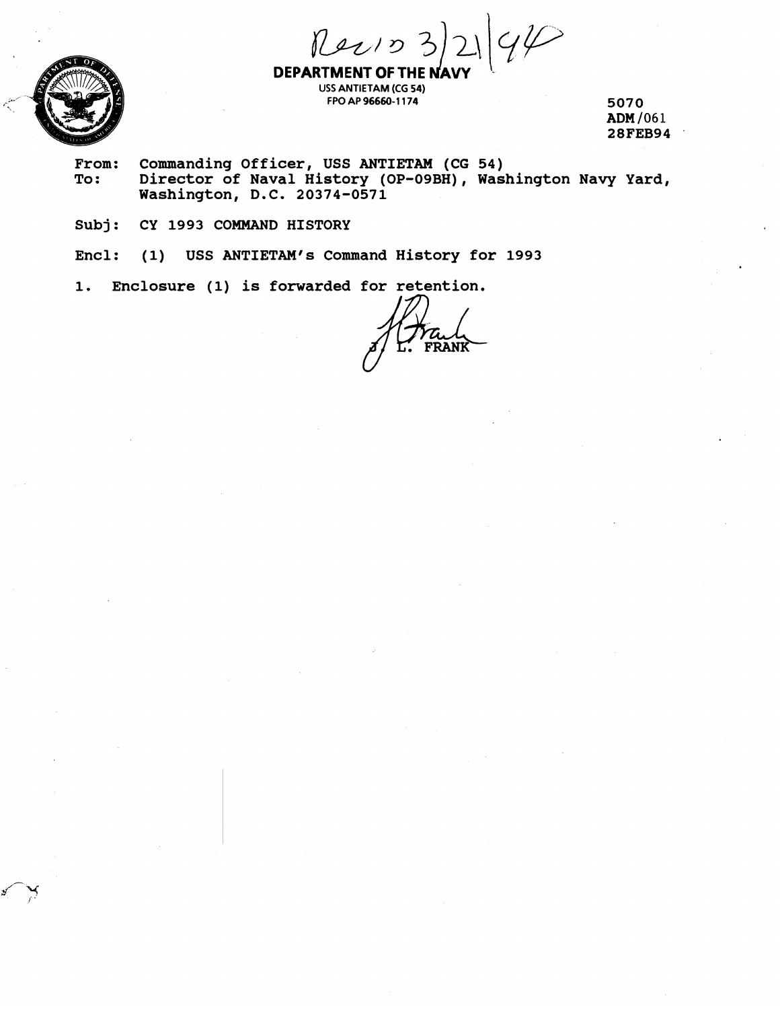$|q\varphi|$  $RevD3$ 



**DEPARTMENT OF THE I USS ANTIETAM (CG 54) FPO AP 96660-1 174 5070** 

**ADM I06 1 28FEB94** 

- From: Commanding Officer, USS ANTIETAM (CG 54)<br>To: Director of Naval History (OP-09BH). Was **To: Director of Naval History (OP-09BH), Washington Navy Yard, Washington, D.C. 20374-0571**
- **Subj: CY 1993 COMMAND HISTORY**

**Encl: (1) USS ANTIETAM'S Command History for 1993** 

Enclosure (1) is forwarded for retention. 1.

**RANK**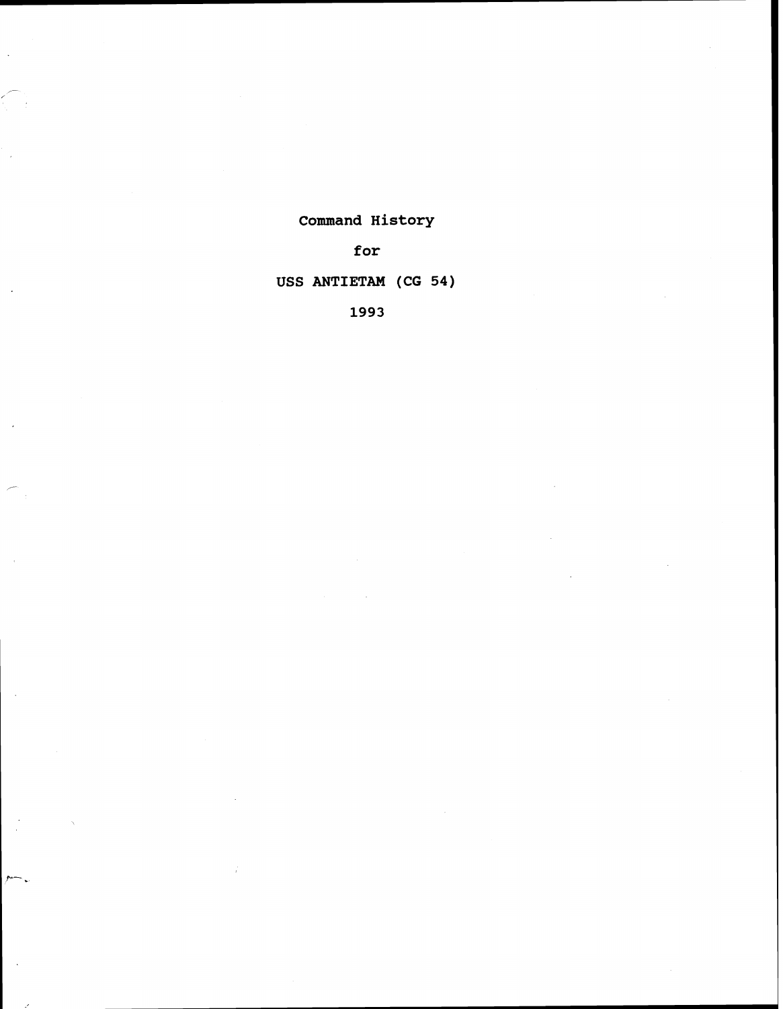# **Command History**

**for** 

# **USS ANTIETAM (CG 54)**

**1993**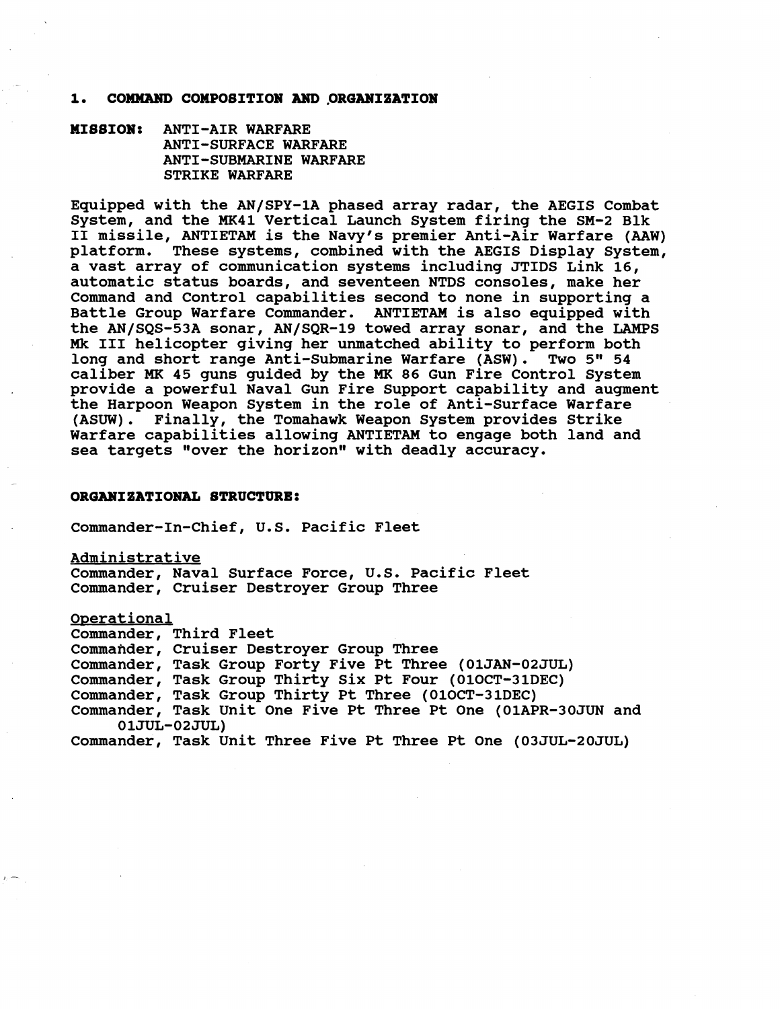### **1. COMMAND COMPOBITION AND .ORGANIZATION**

**MIBBION: ANTI-AIR WARFARE ANTI-SURFACE WARFARE ANTI -SUBMARINE WARFARE STRIKE WARFARE** 

**Equipped with the AN/SPY-1A phased array radar, the AEGIS Combat System, and the MK41 Vertical Launch System firing the SM-2 Blk I1 missile, ANTIETAM is the Navy's premier Anti-Air Warfare (AAW) platform. These systems, combined with the AEGIS Display System, a vast array of communication systems including JTIDS Link 16, automatic status boards, and seventeen NTDS consoles, make her Command and Control capabilities second to none in supporting a Battle Group Warfare Commander. ANTIETAM is also equipped with the AN/SQS-53A sonar, AN/SQR-19 towed array sonar, and the LAMPS Mk I11 helicopter giving her unmatched ability to perform both**  long and short range Anti-Submarine Warfare (ASW). Two 5" 54 **caliber MK 45 guns guided by the MK 86 Gun Fire Control System provide a powerful Naval Gun Fire Support capability and augment the Harpoon Weapon System in the role of Anti-Surface Warfare (ASUW). Finally, the Tomahawk Weapon System provides Strike Warfare capabilities allowing ANTIETAM to engage both land and**  sea targets "over the horizon" with deadly accuracy.

#### **ORGANIZATIONAL STRUCTURE:**

**Commander-In-Chief, U.S. Pacific Fleet** 

**Administrative Commander, Naval Surface Force, U.S. Pacific Fleet Commander, Cruiser Destroyer Group Three** 

**Oserational Commander, Third Fleet Commander, Cruiser Destroyer Group Three Commander, Task Group Forty Five Pt Three (01JAN-02JUL) Commander, Task Group Thirty Six Pt Four (OlOCT-31DEC) Commander, Task Group Thirty Pt Three (OlOCT-31DEC) Commander, Task Unit One Five Pt Three Pt One (01APR-30JUN and 01JUL-02JUL) Commander, Task Unit Three Five Pt Three Pt One (03JUL-20JUL)**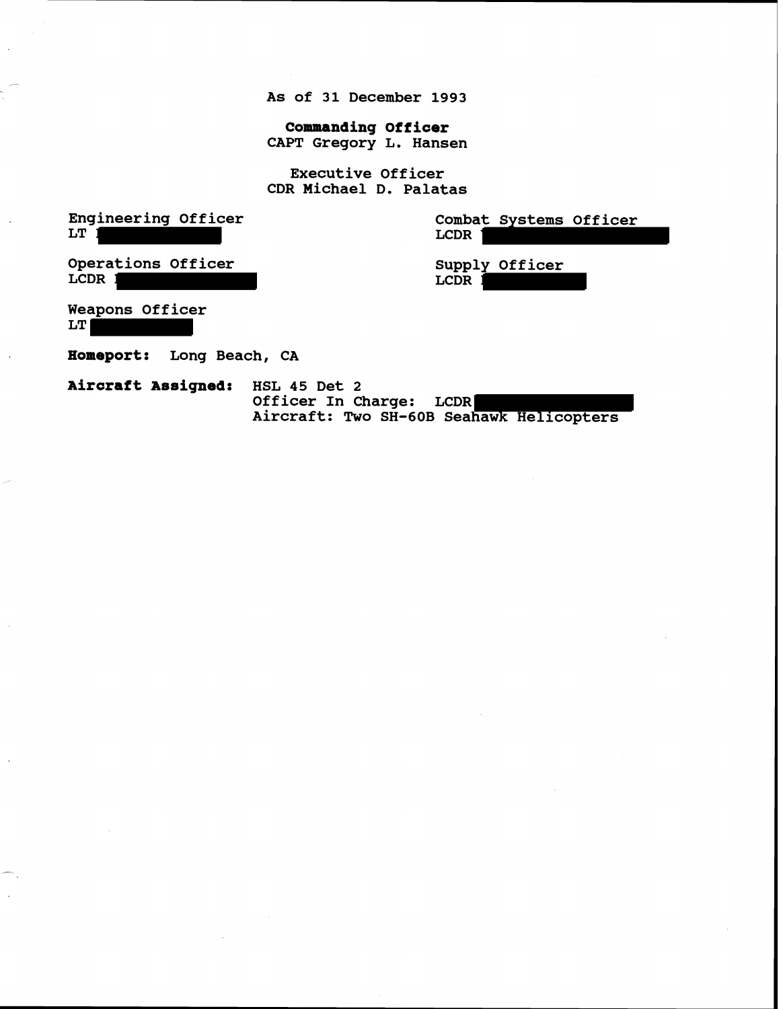**As of 31 December 1993** 

**Commanding Officer CAPT Gregory L. Hansen** 

**Executive Officer CDR Michael D. Palatas** 

**Engineering Officer LT** 

**Combat Systems Officer LCDR** 

**Operations Officer LCDR** 

**Supply Officer LCDR** 

**Weapons Officer** 

**LT**

**Homeport: Long Beach, CA** 

**~ircraft Assigned: HSL 45 Det 2 Officer In Charge: LCDR Aircraft: Two SH-60B Seahawk Helicopters**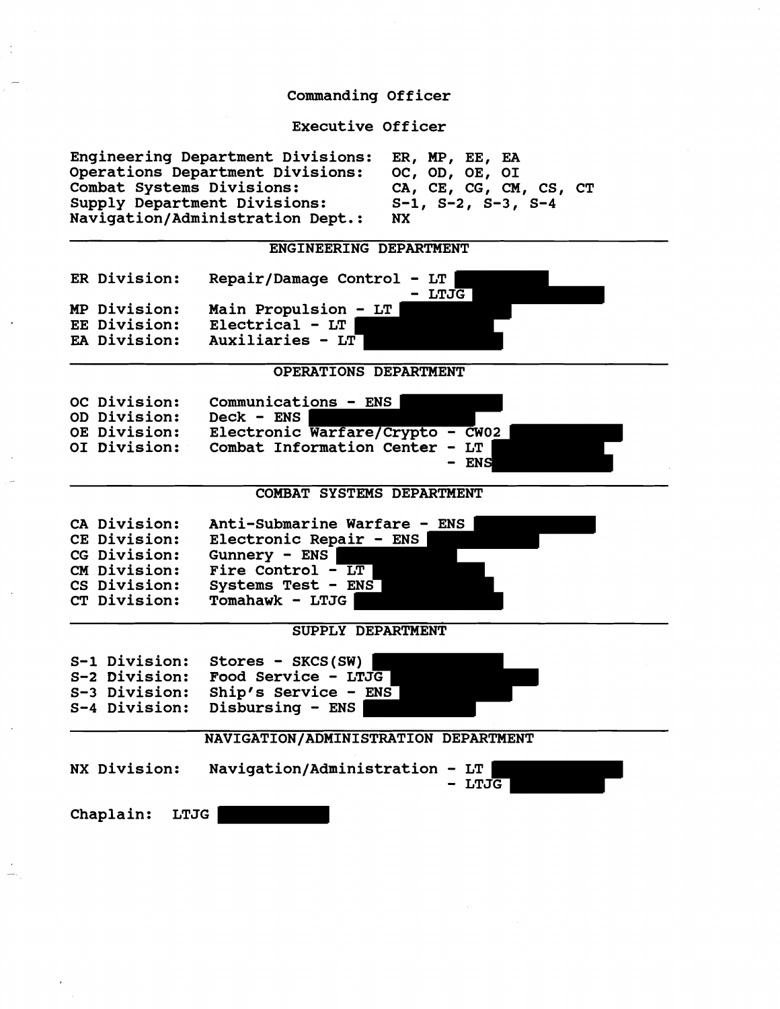#### **Commanding Officer**

**Executive Officer** 

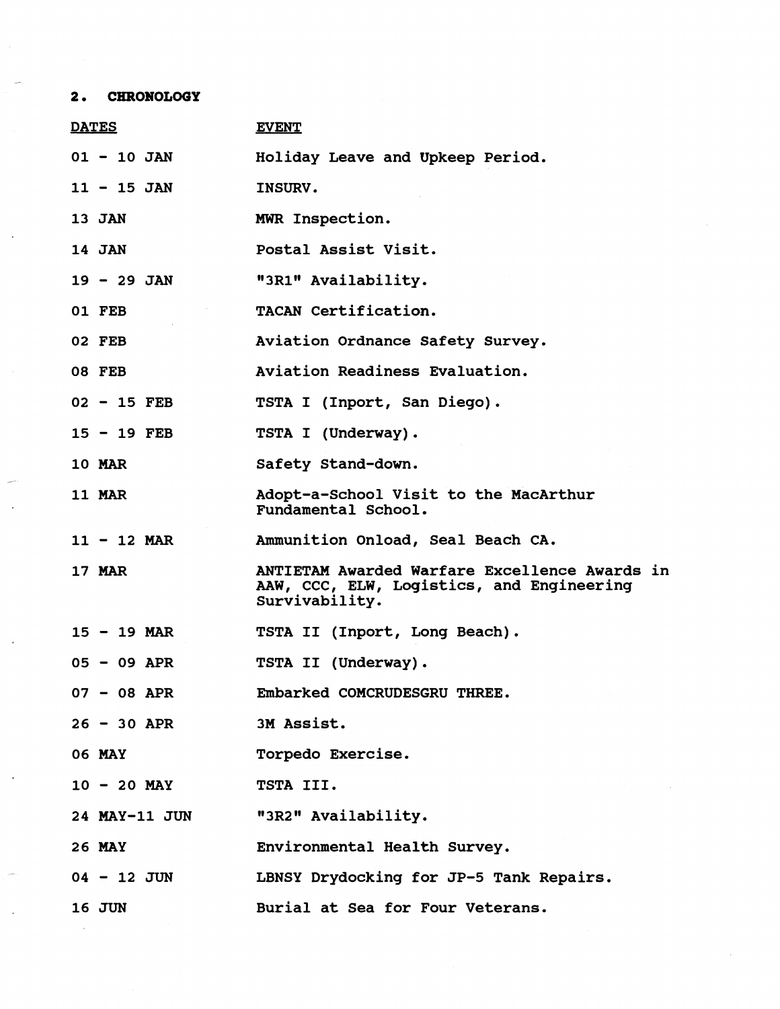# **2. CHRONOLOGY**

| <b>DATES</b>  | <b>EVENT</b>                                                                                                        |
|---------------|---------------------------------------------------------------------------------------------------------------------|
| $01 - 10$ JAN | Holiday Leave and Upkeep Period.                                                                                    |
| $11 - 15$ JAN | INSURV.                                                                                                             |
| 13 JAN        | MWR Inspection.                                                                                                     |
| 14 JAN        | Postal Assist Visit.                                                                                                |
| $19 - 29$ JAN | "3R1" Availability.                                                                                                 |
| 01 FEB        | TACAN Certification.                                                                                                |
| 02 FEB        | Aviation Ordnance Safety Survey.                                                                                    |
| <b>08 FEB</b> | Aviation Readiness Evaluation.                                                                                      |
| $02 - 15$ FEB | TSTA I (Inport, San Diego).                                                                                         |
| $15 - 19$ FEB | TSTA I (Underway).                                                                                                  |
| <b>10 MAR</b> | Safety Stand-down.                                                                                                  |
| <b>11 MAR</b> | Adopt-a-School Visit to the MacArthur<br>Fundamental School.                                                        |
| $11 - 12$ MAR | Ammunition Onload, Seal Beach CA.                                                                                   |
| <b>17 MAR</b> | <b>ANTIETAM Awarded Warfare Excellence Awards in</b><br>AAW, CCC, ELW, Logistics, and Engineering<br>Survivability. |
| $15 - 19$ MAR | TSTA II (Inport, Long Beach).                                                                                       |
| $05 - 09$ APR | TSTA II (Underway).                                                                                                 |
| $07 - 08$ APR | Embarked COMCRUDESGRU THREE.                                                                                        |
| $26 - 30$ APR | 3M Assist.                                                                                                          |
| <b>06 MAY</b> | Torpedo Exercise.                                                                                                   |
| $10 - 20$ MAY | TSTA III.                                                                                                           |
| 24 MAY-11 JUN | "3R2" Availability.                                                                                                 |
| 26 MAY        | Environmental Health Survey.                                                                                        |
| $04 - 12$ JUN | LBNSY Drydocking for JP-5 Tank Repairs.                                                                             |
| <b>16 JUN</b> | Burial at Sea for Four Veterans.                                                                                    |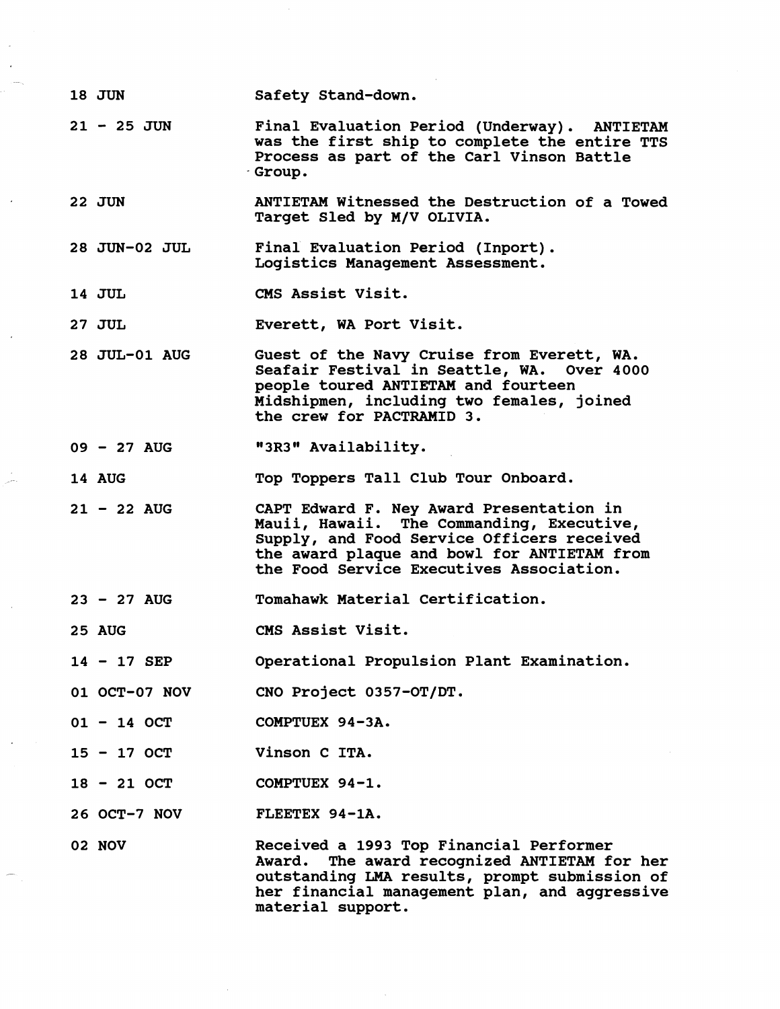- **18** JUN **Safety Stand-down.**
- **<sup>21</sup> 25** JUN Final Evaluation Period (Underway). ANTIETAM **was the first ship to complete the entire TTS Process as part of the Carl Vinson Battle Group.**
- **22 JUN ANTIETAM Witnessed the Destruction of a Towed Target Sled by M/V OLIVIA.**
- **28 JUN-02 JUL Final Evaluation Period (Inport). Logistics Management Assessment.**
- **14 JUL CMS Assist Visit.**
- **27 JUL Everett, WA Port Visit.**
- **28 JUL-01 AUG Guest of the Navy Cruise from Everett, WA. Seafair Festival in Seattle, WA. people toured ANTIETAM and fourteen Midshipmen, including two females, joined the crew for PACTRAMID 3.**
- **<sup>09</sup> 27 AUG It3R3" Availability.**

**14 AUG Top Toppers Tall Club Tour Onboard.** 

- **<sup>21</sup> 22 AUG CAPT Edward F. Ney Award Presentation in Mauii, Hawaii. The Commanding, Executive, Supply, and Food Service Officers received the award plaque and bowl for ANTIETAM from the Food Service Executives Association.**
- **<sup>23</sup> 27 AUG Tomahawk Material Certification.**
- **25 AUG CMS Assist Visit.**
- **<sup>14</sup> 17 SEP Operational Propulsion Plant Examination.**
- **01 OCT-07 NOV CNO Project 0357-OT/DT.**
- **<sup>01</sup> 14 OCT COMPTUEX 94-3A.**
- **<sup>15</sup> 17 OCT Vinson C ITA.**
- **<sup>18</sup> 21 OCT COMPTUEX 94-1.**
- **26 OCT-7 NOV FLEETEX 94-1A.**
- **02 NOV**

**Received a 1993 Top Financial Performer Award. The award recognized ANTIETAM for her outstanding** LMA **results, prompt submission of her financial management plan, and aggressive material support.**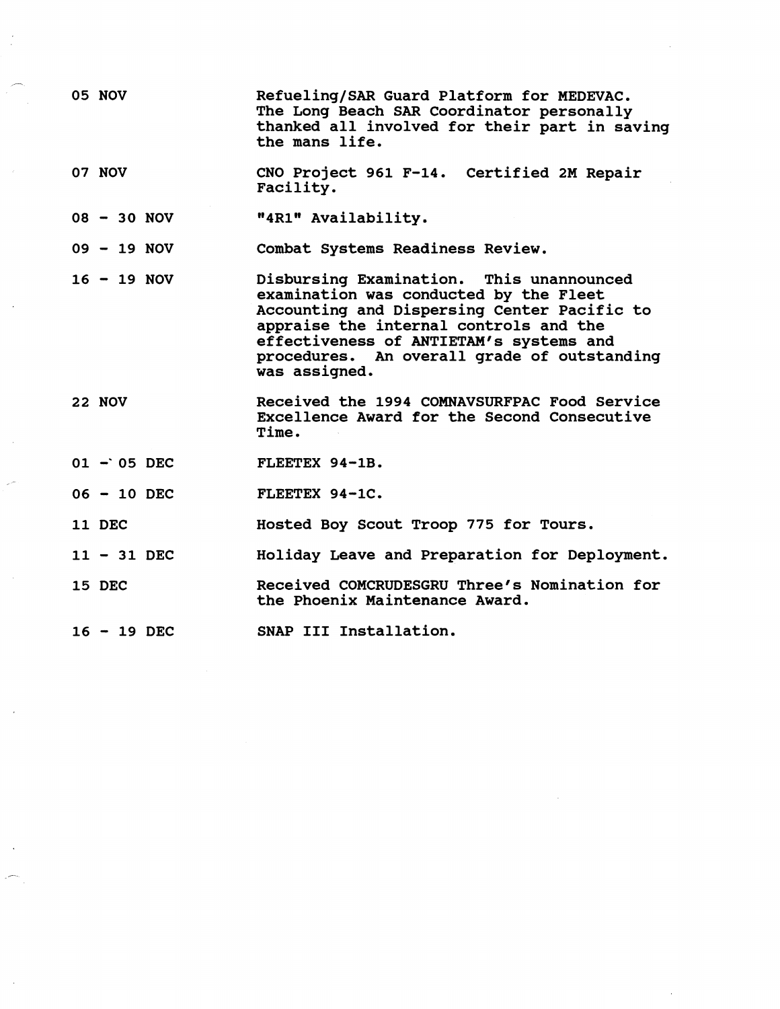| <b>05 NOV</b> | Refueling/SAR Guard Platform for MEDEVAC.<br>The Long Beach SAR Coordinator personally<br>thanked all involved for their part in saving<br>the mans life.                                                                                                                              |
|---------------|----------------------------------------------------------------------------------------------------------------------------------------------------------------------------------------------------------------------------------------------------------------------------------------|
| 07 NOV        | CNO Project 961 F-14. Certified 2M Repair<br>Facility.                                                                                                                                                                                                                                 |
| $08 - 30 NOV$ | "4R1" Availability.                                                                                                                                                                                                                                                                    |
| $09 - 19 NOV$ | Combat Systems Readiness Review.                                                                                                                                                                                                                                                       |
| $16 - 19$ NOV | Disbursing Examination. This unannounced<br>examination was conducted by the Fleet<br>Accounting and Dispersing Center Pacific to<br>appraise the internal controls and the<br>effectiveness of ANTIETAM's systems and<br>procedures. An overall grade of outstanding<br>was assigned. |
| 22 NOV        | Received the 1994 COMNAVSURFPAC Food Service<br>Excellence Award for the Second Consecutive<br>Time.                                                                                                                                                                                   |
| $01 - 05$ DEC | FLEETEX 94-1B.                                                                                                                                                                                                                                                                         |
| $06 - 10$ DEC | FLEETEX 94-1C.                                                                                                                                                                                                                                                                         |
| 11 DEC        | Hosted Boy Scout Troop 775 for Tours.                                                                                                                                                                                                                                                  |
| $11 - 31$ DEC | Holiday Leave and Preparation for Deployment.                                                                                                                                                                                                                                          |
| 15 DEC        | Received COMCRUDESGRU Three's Nomination for<br>the Phoenix Maintenance Award.                                                                                                                                                                                                         |
| $16 - 19$ DEC | SNAP III Installation.                                                                                                                                                                                                                                                                 |

 $\label{eq:2.1} \frac{1}{\sqrt{2}}\int_{\mathbb{R}^3}\frac{1}{\sqrt{2}}\left(\frac{1}{\sqrt{2}}\right)^2\frac{1}{\sqrt{2}}\left(\frac{1}{\sqrt{2}}\right)^2\frac{1}{\sqrt{2}}\left(\frac{1}{\sqrt{2}}\right)^2\frac{1}{\sqrt{2}}\left(\frac{1}{\sqrt{2}}\right)^2\frac{1}{\sqrt{2}}\left(\frac{1}{\sqrt{2}}\right)^2\frac{1}{\sqrt{2}}\frac{1}{\sqrt{2}}\frac{1}{\sqrt{2}}\frac{1}{\sqrt{2}}\frac{1}{\sqrt{2}}\frac{1}{\sqrt{2}}$ 

 $\frac{1}{2}$  ,  $\frac{1}{2}$ 

-

 $\label{eq:2} \frac{1}{2} \int_{0}^{2\pi} \frac{1}{\sqrt{2\pi}} \, \mathrm{d} \theta \, \mathrm{d} \theta \, \mathrm{d} \theta \, \mathrm{d} \theta \, \mathrm{d} \theta \, \mathrm{d} \theta \, \mathrm{d} \theta \, \mathrm{d} \theta \, \mathrm{d} \theta \, \mathrm{d} \theta \, \mathrm{d} \theta \, \mathrm{d} \theta \, \mathrm{d} \theta \, \mathrm{d} \theta \, \mathrm{d} \theta \, \mathrm{d} \theta \, \mathrm{d} \theta \, \mathrm{d} \theta \, \mathrm{d} \theta \, \mathrm{d} \theta \, \mathrm$ 

 $\mathcal{L}_{\text{max}}$ 

 $\frac{1}{2} \sum_{i=1}^{n} \frac{1}{2} \sum_{j=1}^{n} \frac{1}{2} \sum_{j=1}^{n} \frac{1}{2} \sum_{j=1}^{n} \frac{1}{2} \sum_{j=1}^{n} \frac{1}{2} \sum_{j=1}^{n} \frac{1}{2} \sum_{j=1}^{n} \frac{1}{2} \sum_{j=1}^{n} \frac{1}{2} \sum_{j=1}^{n} \frac{1}{2} \sum_{j=1}^{n} \frac{1}{2} \sum_{j=1}^{n} \frac{1}{2} \sum_{j=1}^{n} \frac{1}{2} \sum_{j=1}^{n$ 

 $\mathcal{P}^{\frac{1}{2}}$ 

 $\frac{1}{2}$ 

 $\mathcal{A}^{\mathcal{A}}$ 

 $\mathcal{A}^{\mathcal{A}}$ 

 $\frac{1}{2} \frac{1}{2} \frac{1}{2}$ 

 $\frac{1}{2}$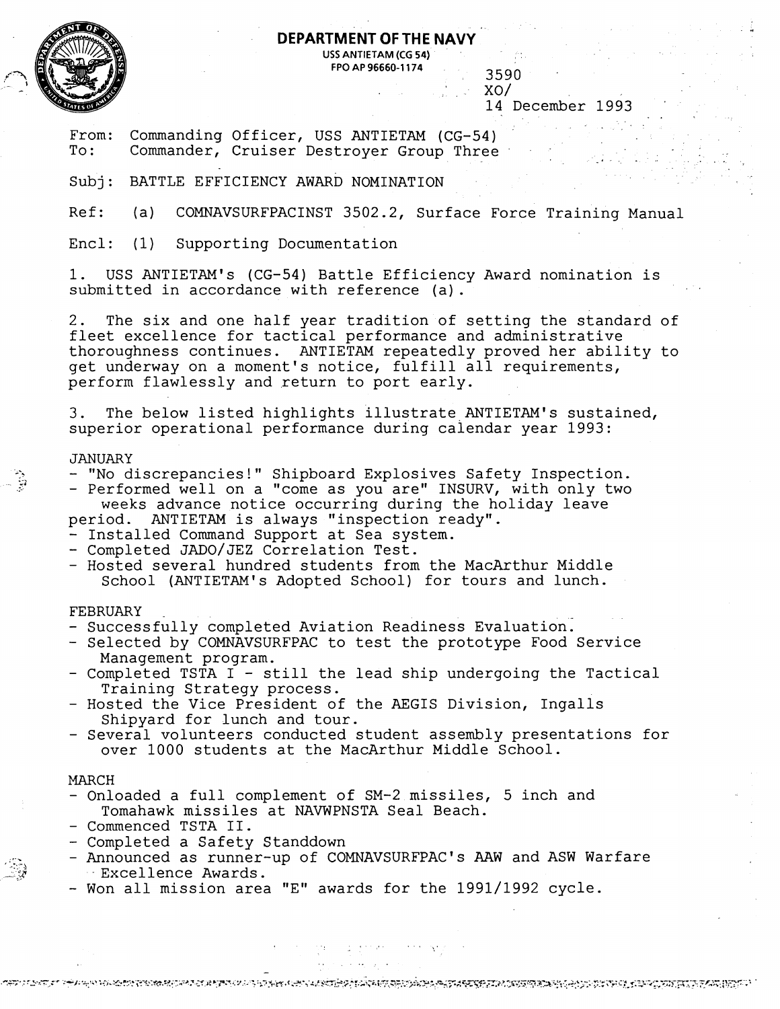

# **DEPARTMENT OF THE NAVY USS ANTIETAM (CG 54)**

**FPO AP 96660-1 174** 3590

 $XO/$ 

14 December 1993

. .

From: Commanding Officer, USS ANTIETAM (CG-54)<br>To: Commander, Cruiser Destrover Group Three Commander, Cruiser Destroyer Group Three

Subj: BATTLE EFFICIENCY AWARD NOMINATION

Ref: (a) COMNAVSURFPACINST 3502.2, Surface Force Training Manual

Encl: (1) Supporting Documentation

1. USS ANTIETAM's (CG-54) Battle Efficiency Award nomination is submitted in accordance with reference (a).

2. The six and one half year tradition of setting the standard of fleet excellence for tactical performance and administrative thoroughness continues. ANTIETAM repeatedly proved her ability to get underway on a moment's notice, fulfill all requirements, perform flawlessly and return to port early.

3. The below listed highlights illustrate ANTIETAM's sustained, superior operational performance during calendar year 1993:

-.  $\frac{3}{5}$  .

**r.** 

- **-w** 

- JANUARY<br>- "No discrepancies!" Shipboard Explosives Safety Inspection.
- Performed well on a "come as you are" INSURV, with only two weeks advance notice occurring during the holiday leave
- period. ANTIETAM is always "inspection ready".
- Installed Command Support at Sea system.<br>- Completed JADO/JEZ Correlation Test.
- 
- Hosted several hundred students from the MacArthur Middle School (ANTIETAM's Adopted School) for tours and lunch.

## **FEBRUARY**

- Successfully completed Aviation Readiness Evaluation.
- Selected by COMNAVSURFPAC to test the prototype Food Service<br>Management program.
- Completed TSTA I still the lead ship undergoing the Tactical<br>Training Strategy process.
- Hosted the Vice President of the AEGIS Division, Ingalls<br>Shipyard for lunch and tour.
- Several volunteers conducted student assembly presentations for over 1000 students at the MacArthur Middle School.

## MARCH

- Onloaded a full complement of SM-2 missiles, 5 inch and Tomahawk missiles at NAVWPNSTA Seal Beach. - Commenced TSTA 11.
- 
- Completed a Safety Standdown
- Announced as runner-up of COMNAVSURFPAC's AAW and ASW Warfare .., Excellence Awards.
- Won all mission area "E" awards for the 1991/1992 cycle.

OSTI LITET I TIANNO SAMERKOS KOASTA KAN KIRITA KAN KARTARIN KUN KAN KAN KAN KAN TARAH KAN KAN KAN KAN KAN KAN K

. , ... .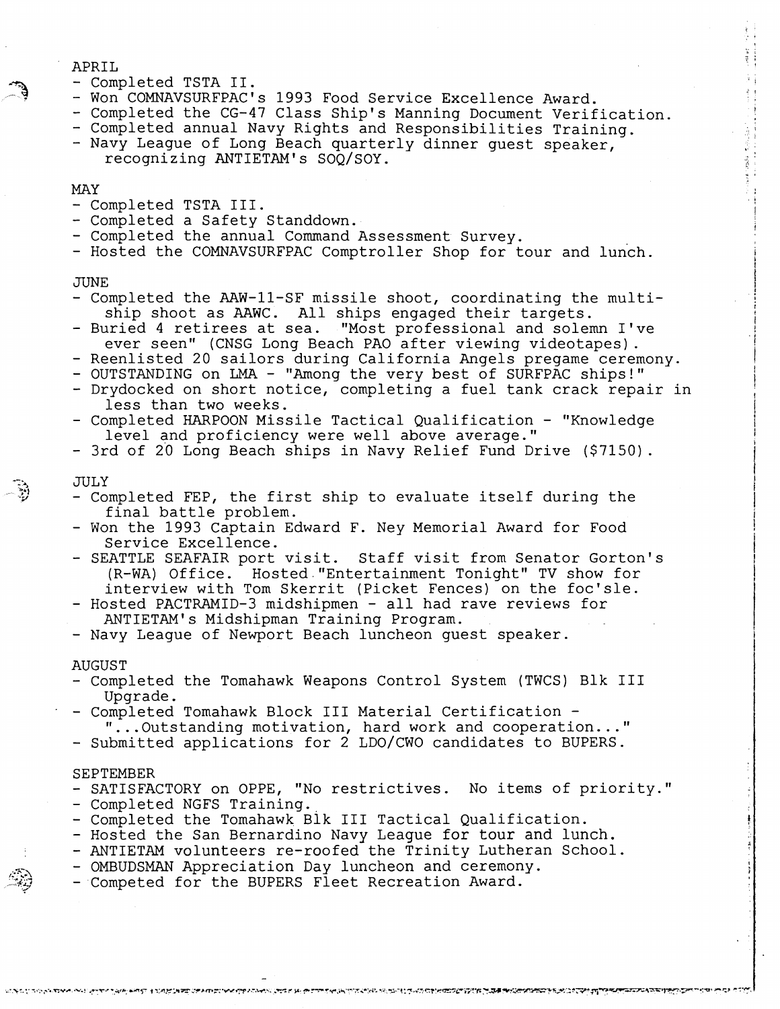#### APRIL

- Completed TSTA 11.
- Won COMNAVSURFPAC's 1993 Food Service Excellence Award.
- Completed the CG-47 Class Ship's Manning Document Verification.
- Completed annual Navy Rights and Responsibilities Training.
- Navy League of Long Beach quarterly dinner guest speaker, recognizing ANTIETAM'S SOQ/SOY.

### MAY

- Completed TSTA 111.
- 
- Completed a Safety Standdown.<br>- Completed the annual Command Assessment Survey.
- Hosted the COMNAVSURFPAC Comptroller Shop for tour and lunch.

#### JUNE

- Completed the AAW-11-SF missile shoot, coordinating the multiship shoot as AAWC. All ships engaged their targets.
- Buried 4 retirees at sea. "Most professional and solemn I've
- 
- Reenlisted 20 sailors during California Angels pregame ceremony.<br>- OUTSTANDING on LMA "Among the very best of SURFPAC ships!"
- Drydocked on short notice, completing a fuel tank crack repair in less than two weeks.
- Completed HARPOON Missile Tactical Qualification "Knowledge level and proficiency were well above average."
- 3rd of 20 Long Beach ships in Navy Relief Fund Drive (\$7150).

#### JULY

- Completed FEP, the first ship to evaluate itself during the final battle problem.
- Won the 1993 Captain Edward F. Ney Memorial Award for Food Service Excellence.
- SEATTLE SEAFAIR port visit. Staff visit from Senator Gorton's (R-WA) Office. Hosted."Entertainment Tonight" TV show for interview with Tom Skerrit (Picket Fences) on the foc'sle.
- Hosted PACTRAMID-3 midshipmen all had rave reviews for ANTIETAM'S Midshipman Training Program.

- Navy League of Newport Beach luncheon guest speaker.

#### AUGUST

- Completed the Tomahawk Weapons Control System (TWCS) Blk I11 Upgrade.
- Completed Tomahawk Block I11 Material Certification "...Outstanding motivation, hard work and cooperation ..."
- Submitted applications for 2 LDo/CWO candidates to BUPERS.

#### SEPTEMBER

- SATISFACTORY on OPPE, "No restrictives. No items of priority."<br>- Completed NGFS Training.<br>- Completed the Tomahawk Blk III Tactical Qualification.<br>- Hosted the San Bernardino Navy League for tour and lunch.
- 
- 

እነዚህ ነገር ለአጥቃለ የሚገልፃው የሚገኙ አንባይችውን የተለመንቀለው የአቀፍ መወረዳ ውስጥ የሚገኙ የአው ሚጭ የተለመን መንግስት አመል የሚያመልክን የይህነትንን ተጠንሚዎችንን

- 
- ANTIETAM volunteers re-roofed the Trinity Lutheran School.
- OMBUDSMAN Appreciation Day luncheon and ceremony.
- Competed for the BUPERS Fleet Recreation Award.